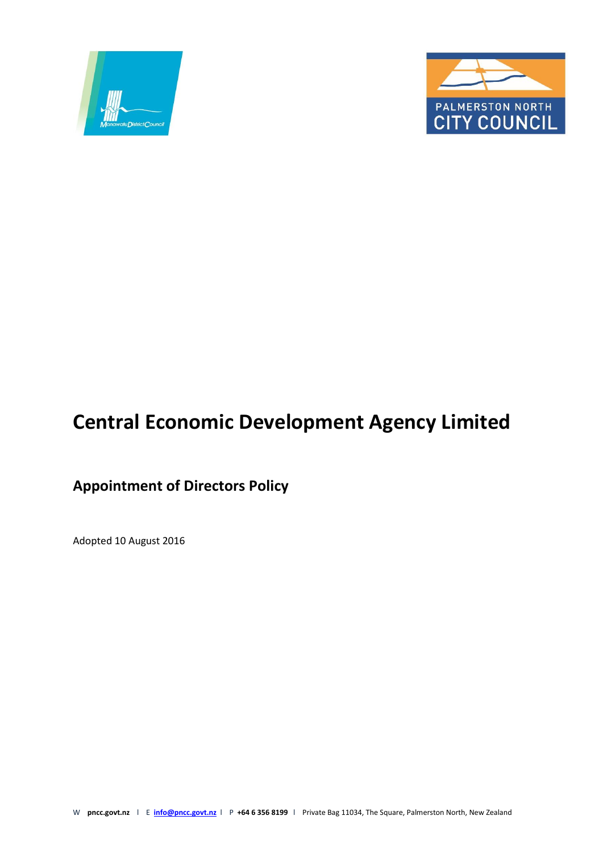



# **Central Economic Development Agency Limited**

# **Appointment of Directors Policy**

Adopted 10 August 2016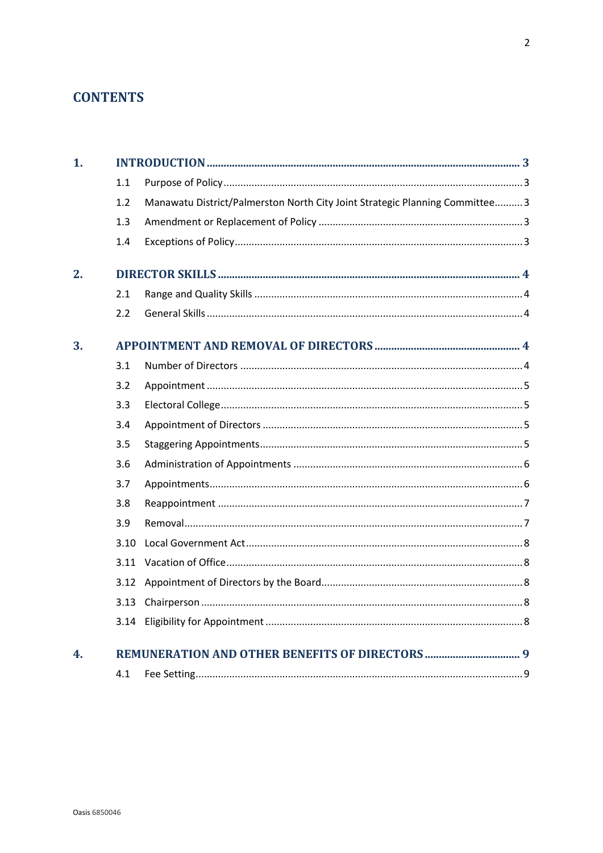# **CONTENTS**

| 1. |      |                                                                              |  |  |
|----|------|------------------------------------------------------------------------------|--|--|
|    | 1.1  |                                                                              |  |  |
|    | 1.2  | Manawatu District/Palmerston North City Joint Strategic Planning Committee 3 |  |  |
|    | 1.3  |                                                                              |  |  |
|    | 1.4  |                                                                              |  |  |
| 2. |      |                                                                              |  |  |
|    | 2.1  |                                                                              |  |  |
|    | 2.2  |                                                                              |  |  |
| 3. |      |                                                                              |  |  |
|    | 3.1  |                                                                              |  |  |
|    | 3.2  |                                                                              |  |  |
|    | 3.3  |                                                                              |  |  |
|    | 3.4  |                                                                              |  |  |
|    | 3.5  |                                                                              |  |  |
|    | 3.6  |                                                                              |  |  |
|    | 3.7  |                                                                              |  |  |
|    | 3.8  |                                                                              |  |  |
|    | 3.9  |                                                                              |  |  |
|    | 3.10 |                                                                              |  |  |
|    | 3.11 |                                                                              |  |  |
|    | 3.12 |                                                                              |  |  |
|    | 3.13 |                                                                              |  |  |
|    | 3.14 |                                                                              |  |  |
| 4. |      |                                                                              |  |  |
|    | 4.1  |                                                                              |  |  |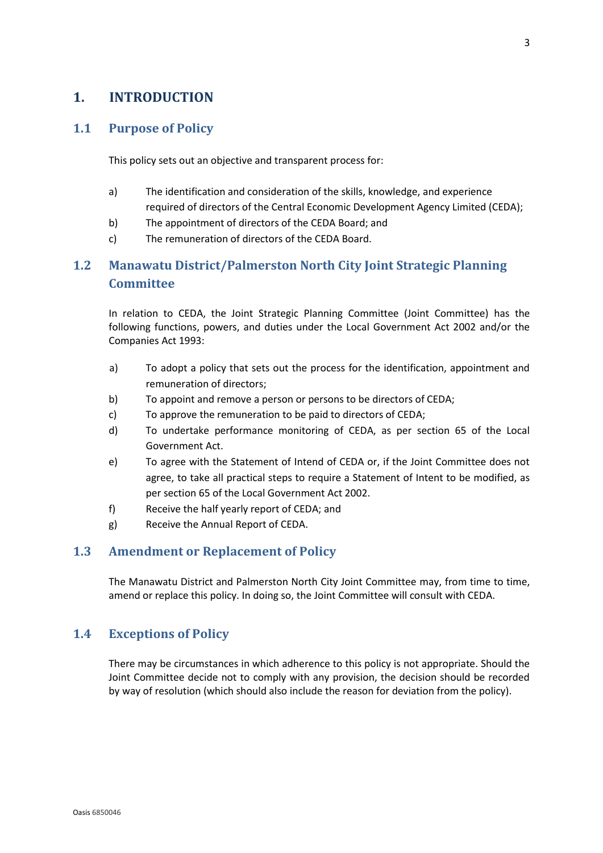# <span id="page-2-0"></span>**1. INTRODUCTION**

## <span id="page-2-1"></span>**1.1 Purpose of Policy**

This policy sets out an objective and transparent process for:

- a) The identification and consideration of the skills, knowledge, and experience required of directors of the Central Economic Development Agency Limited (CEDA);
- b) The appointment of directors of the CEDA Board; and
- c) The remuneration of directors of the CEDA Board.

# <span id="page-2-2"></span>**1.2 Manawatu District/Palmerston North City Joint Strategic Planning Committee**

In relation to CEDA, the Joint Strategic Planning Committee (Joint Committee) has the following functions, powers, and duties under the Local Government Act 2002 and/or the Companies Act 1993:

- a) To adopt a policy that sets out the process for the identification, appointment and remuneration of directors;
- b) To appoint and remove a person or persons to be directors of CEDA;
- c) To approve the remuneration to be paid to directors of CEDA;
- d) To undertake performance monitoring of CEDA, as per section 65 of the Local Government Act.
- e) To agree with the Statement of Intend of CEDA or, if the Joint Committee does not agree, to take all practical steps to require a Statement of Intent to be modified, as per section 65 of the Local Government Act 2002.
- f) Receive the half yearly report of CEDA; and
- g) Receive the Annual Report of CEDA.

## <span id="page-2-3"></span>**1.3 Amendment or Replacement of Policy**

The Manawatu District and Palmerston North City Joint Committee may, from time to time, amend or replace this policy. In doing so, the Joint Committee will consult with CEDA.

## <span id="page-2-4"></span>**1.4 Exceptions of Policy**

There may be circumstances in which adherence to this policy is not appropriate. Should the Joint Committee decide not to comply with any provision, the decision should be recorded by way of resolution (which should also include the reason for deviation from the policy).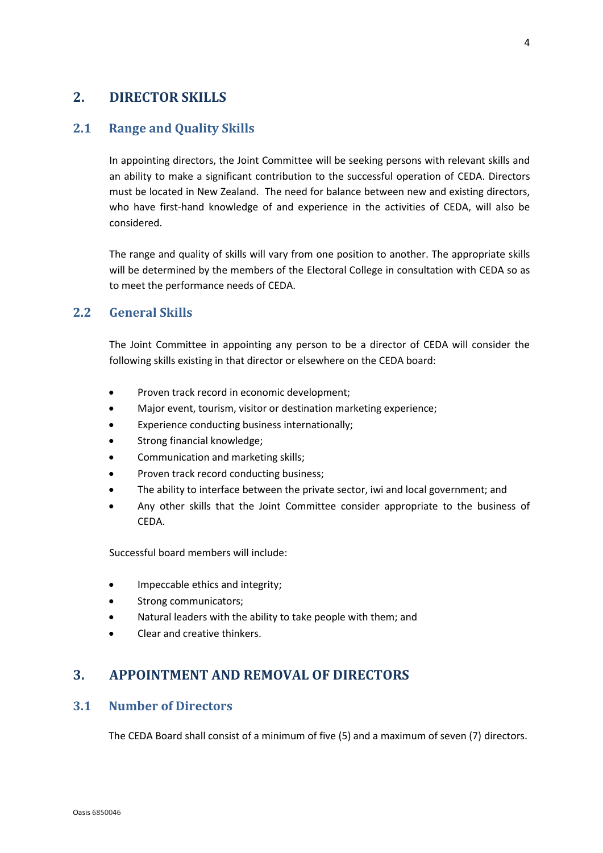# <span id="page-3-0"></span>**2. DIRECTOR SKILLS**

## <span id="page-3-1"></span>**2.1 Range and Quality Skills**

In appointing directors, the Joint Committee will be seeking persons with relevant skills and an ability to make a significant contribution to the successful operation of CEDA. Directors must be located in New Zealand. The need for balance between new and existing directors, who have first-hand knowledge of and experience in the activities of CEDA, will also be considered.

The range and quality of skills will vary from one position to another. The appropriate skills will be determined by the members of the Electoral College in consultation with CEDA so as to meet the performance needs of CEDA.

#### <span id="page-3-2"></span>**2.2 General Skills**

The Joint Committee in appointing any person to be a director of CEDA will consider the following skills existing in that director or elsewhere on the CEDA board:

- Proven track record in economic development;
- Major event, tourism, visitor or destination marketing experience;
- Experience conducting business internationally;
- Strong financial knowledge;
- Communication and marketing skills;
- Proven track record conducting business;
- The ability to interface between the private sector, iwi and local government; and
- Any other skills that the Joint Committee consider appropriate to the business of CEDA.

Successful board members will include:

- Impeccable ethics and integrity;
- Strong communicators;
- Natural leaders with the ability to take people with them; and
- Clear and creative thinkers.

# <span id="page-3-3"></span>**3. APPOINTMENT AND REMOVAL OF DIRECTORS**

#### <span id="page-3-4"></span>**3.1 Number of Directors**

The CEDA Board shall consist of a minimum of five (5) and a maximum of seven (7) directors.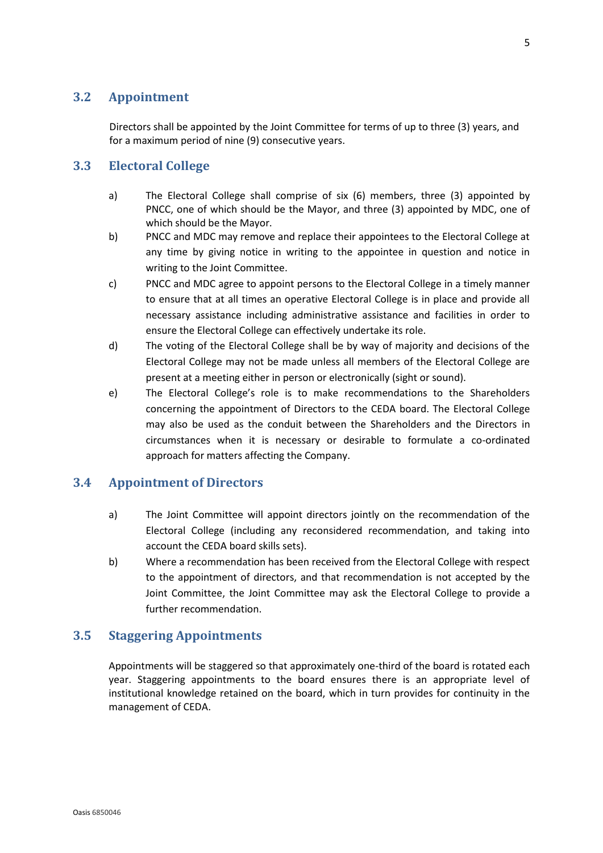# <span id="page-4-0"></span>**3.2 Appointment**

Directors shall be appointed by the Joint Committee for terms of up to three (3) years, and for a maximum period of nine (9) consecutive years.

## <span id="page-4-1"></span>**3.3 Electoral College**

- a) The Electoral College shall comprise of six (6) members, three (3) appointed by PNCC, one of which should be the Mayor, and three (3) appointed by MDC, one of which should be the Mayor.
- b) PNCC and MDC may remove and replace their appointees to the Electoral College at any time by giving notice in writing to the appointee in question and notice in writing to the Joint Committee.
- c) PNCC and MDC agree to appoint persons to the Electoral College in a timely manner to ensure that at all times an operative Electoral College is in place and provide all necessary assistance including administrative assistance and facilities in order to ensure the Electoral College can effectively undertake its role.
- d) The voting of the Electoral College shall be by way of majority and decisions of the Electoral College may not be made unless all members of the Electoral College are present at a meeting either in person or electronically (sight or sound).
- e) The Electoral College's role is to make recommendations to the Shareholders concerning the appointment of Directors to the CEDA board. The Electoral College may also be used as the conduit between the Shareholders and the Directors in circumstances when it is necessary or desirable to formulate a co-ordinated approach for matters affecting the Company.

## <span id="page-4-2"></span>**3.4 Appointment of Directors**

- a) The Joint Committee will appoint directors jointly on the recommendation of the Electoral College (including any reconsidered recommendation, and taking into account the CEDA board skills sets).
- b) Where a recommendation has been received from the Electoral College with respect to the appointment of directors, and that recommendation is not accepted by the Joint Committee, the Joint Committee may ask the Electoral College to provide a further recommendation.

## <span id="page-4-3"></span>**3.5 Staggering Appointments**

Appointments will be staggered so that approximately one-third of the board is rotated each year. Staggering appointments to the board ensures there is an appropriate level of institutional knowledge retained on the board, which in turn provides for continuity in the management of CEDA.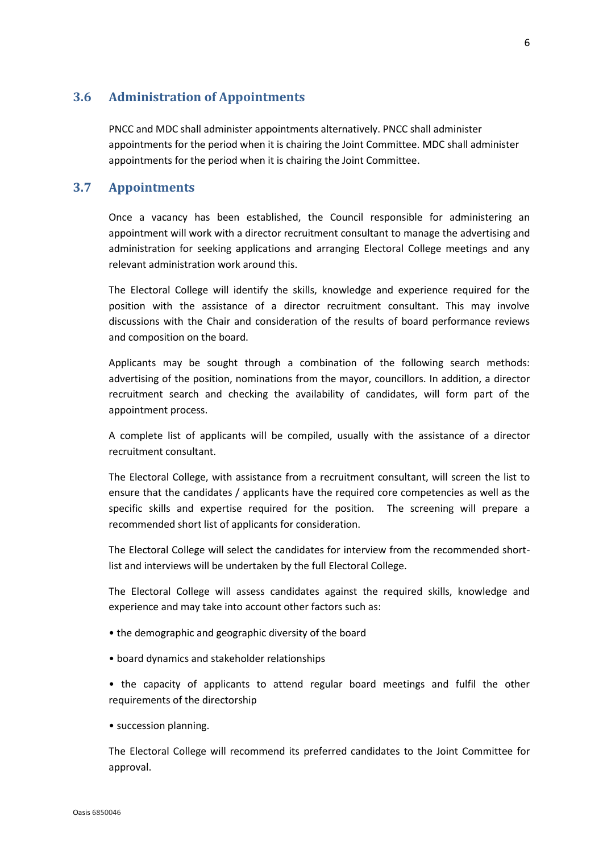#### <span id="page-5-0"></span>**3.6 Administration of Appointments**

PNCC and MDC shall administer appointments alternatively. PNCC shall administer appointments for the period when it is chairing the Joint Committee. MDC shall administer appointments for the period when it is chairing the Joint Committee.

#### <span id="page-5-1"></span>**3.7 Appointments**

Once a vacancy has been established, the Council responsible for administering an appointment will work with a director recruitment consultant to manage the advertising and administration for seeking applications and arranging Electoral College meetings and any relevant administration work around this.

The Electoral College will identify the skills, knowledge and experience required for the position with the assistance of a director recruitment consultant. This may involve discussions with the Chair and consideration of the results of board performance reviews and composition on the board.

Applicants may be sought through a combination of the following search methods: advertising of the position, nominations from the mayor, councillors. In addition, a director recruitment search and checking the availability of candidates, will form part of the appointment process.

A complete list of applicants will be compiled, usually with the assistance of a director recruitment consultant.

The Electoral College, with assistance from a recruitment consultant, will screen the list to ensure that the candidates / applicants have the required core competencies as well as the specific skills and expertise required for the position. The screening will prepare a recommended short list of applicants for consideration.

The Electoral College will select the candidates for interview from the recommended shortlist and interviews will be undertaken by the full Electoral College.

The Electoral College will assess candidates against the required skills, knowledge and experience and may take into account other factors such as:

- the demographic and geographic diversity of the board
- board dynamics and stakeholder relationships

• the capacity of applicants to attend regular board meetings and fulfil the other requirements of the directorship

• succession planning.

The Electoral College will recommend its preferred candidates to the Joint Committee for approval.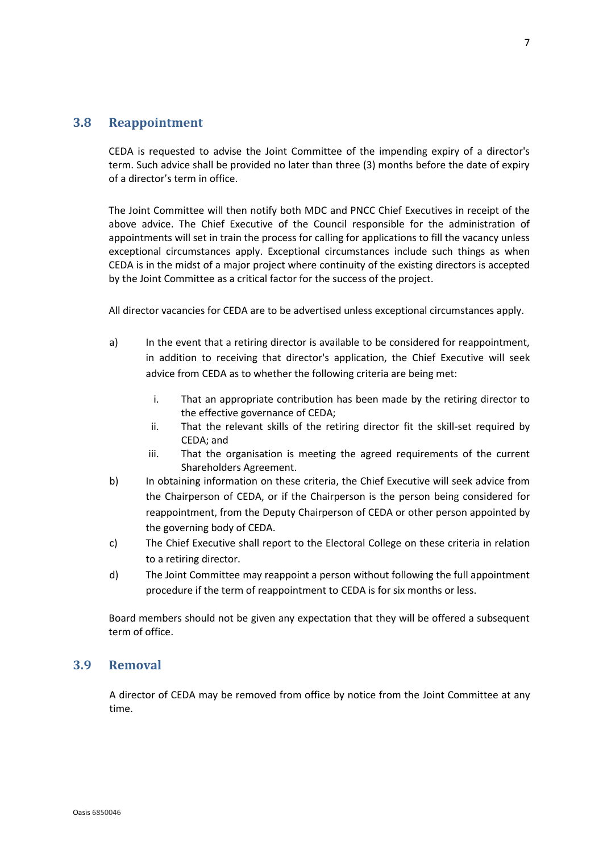#### <span id="page-6-0"></span>**3.8 Reappointment**

CEDA is requested to advise the Joint Committee of the impending expiry of a director's term. Such advice shall be provided no later than three (3) months before the date of expiry of a director's term in office.

The Joint Committee will then notify both MDC and PNCC Chief Executives in receipt of the above advice. The Chief Executive of the Council responsible for the administration of appointments will set in train the process for calling for applications to fill the vacancy unless exceptional circumstances apply. Exceptional circumstances include such things as when CEDA is in the midst of a major project where continuity of the existing directors is accepted by the Joint Committee as a critical factor for the success of the project.

All director vacancies for CEDA are to be advertised unless exceptional circumstances apply.

- a) In the event that a retiring director is available to be considered for reappointment, in addition to receiving that director's application, the Chief Executive will seek advice from CEDA as to whether the following criteria are being met:
	- i. That an appropriate contribution has been made by the retiring director to the effective governance of CEDA;
	- ii. That the relevant skills of the retiring director fit the skill-set required by CEDA; and
	- iii. That the organisation is meeting the agreed requirements of the current Shareholders Agreement.
- b) In obtaining information on these criteria, the Chief Executive will seek advice from the Chairperson of CEDA, or if the Chairperson is the person being considered for reappointment, from the Deputy Chairperson of CEDA or other person appointed by the governing body of CEDA.
- c) The Chief Executive shall report to the Electoral College on these criteria in relation to a retiring director.
- d) The Joint Committee may reappoint a person without following the full appointment procedure if the term of reappointment to CEDA is for six months or less.

Board members should not be given any expectation that they will be offered a subsequent term of office.

#### <span id="page-6-1"></span>**3.9 Removal**

A director of CEDA may be removed from office by notice from the Joint Committee at any time.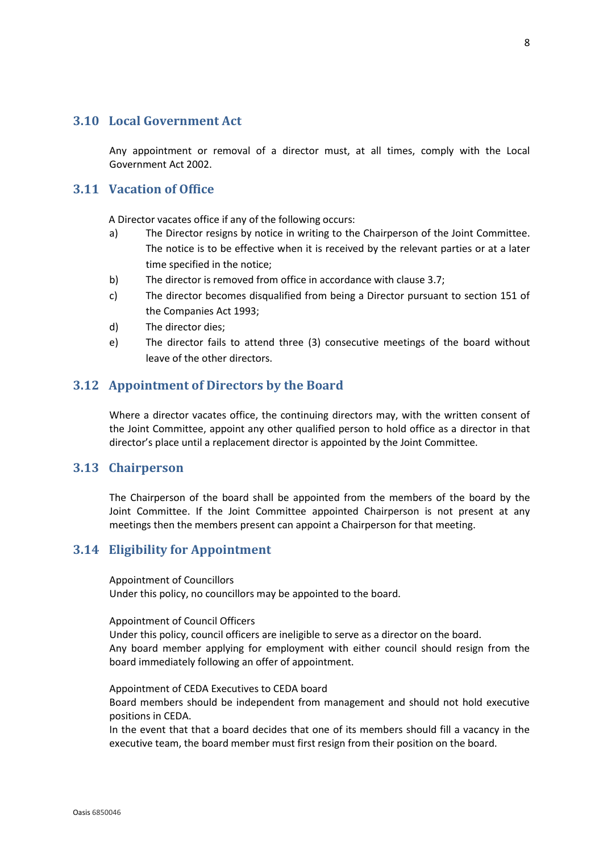#### <span id="page-7-0"></span>**3.10 Local Government Act**

Any appointment or removal of a director must, at all times, comply with the Local Government Act 2002.

#### <span id="page-7-1"></span>**3.11 Vacation of Office**

A Director vacates office if any of the following occurs:

- a) The Director resigns by notice in writing to the Chairperson of the Joint Committee. The notice is to be effective when it is received by the relevant parties or at a later time specified in the notice;
- b) The director is removed from office in accordance with clause 3.7;
- c) The director becomes disqualified from being a Director pursuant to section 151 of the Companies Act 1993;
- d) The director dies;
- e) The director fails to attend three (3) consecutive meetings of the board without leave of the other directors.

#### <span id="page-7-2"></span>**3.12 Appointment of Directors by the Board**

Where a director vacates office, the continuing directors may, with the written consent of the Joint Committee, appoint any other qualified person to hold office as a director in that director's place until a replacement director is appointed by the Joint Committee.

#### <span id="page-7-3"></span>**3.13 Chairperson**

The Chairperson of the board shall be appointed from the members of the board by the Joint Committee. If the Joint Committee appointed Chairperson is not present at any meetings then the members present can appoint a Chairperson for that meeting.

#### <span id="page-7-4"></span>**3.14 Eligibility for Appointment**

Appointment of Councillors

Under this policy, no councillors may be appointed to the board.

#### Appointment of Council Officers

Under this policy, council officers are ineligible to serve as a director on the board. Any board member applying for employment with either council should resign from the board immediately following an offer of appointment.

Appointment of CEDA Executives to CEDA board Board members should be independent from management and should not hold executive positions in CEDA.

In the event that that a board decides that one of its members should fill a vacancy in the executive team, the board member must first resign from their position on the board.